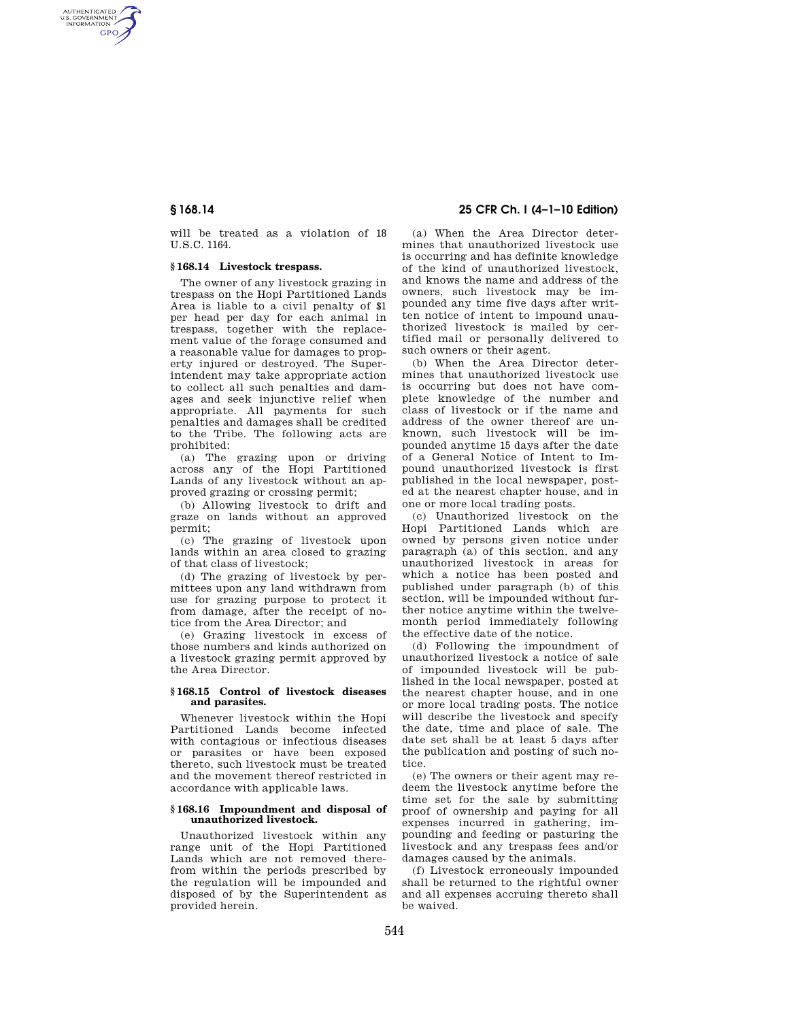AUTHENTICATED<br>U.S. GOVERNMENT<br>INFORMATION **GPO** 

> will be treated as a violation of 18 U.S.C. 1164.

# **§ 168.14 Livestock trespass.**

The owner of any livestock grazing in trespass on the Hopi Partitioned Lands Area is liable to a civil penalty of \$1 per head per day for each animal in trespass, together with the replacement value of the forage consumed and a reasonable value for damages to property injured or destroyed. The Superintendent may take appropriate action to collect all such penalties and damages and seek injunctive relief when appropriate. All payments for such penalties and damages shall be credited to the Tribe. The following acts are prohibited:

(a) The grazing upon or driving across any of the Hopi Partitioned Lands of any livestock without an approved grazing or crossing permit;

(b) Allowing livestock to drift and graze on lands without an approved permit;

(c) The grazing of livestock upon lands within an area closed to grazing of that class of livestock;

(d) The grazing of livestock by permittees upon any land withdrawn from use for grazing purpose to protect it from damage, after the receipt of notice from the Area Director; and

(e) Grazing livestock in excess of those numbers and kinds authorized on a livestock grazing permit approved by the Area Director.

## **§ 168.15 Control of livestock diseases and parasites.**

Whenever livestock within the Hopi Partitioned Lands become infected with contagious or infectious diseases or parasites or have been exposed thereto, such livestock must be treated and the movement thereof restricted in accordance with applicable laws.

### **§ 168.16 Impoundment and disposal of unauthorized livestock.**

Unauthorized livestock within any range unit of the Hopi Partitioned Lands which are not removed therefrom within the periods prescribed by the regulation will be impounded and disposed of by the Superintendent as provided herein.

# **§ 168.14 25 CFR Ch. I (4–1–10 Edition)**

(a) When the Area Director determines that unauthorized livestock use is occurring and has definite knowledge of the kind of unauthorized livestock, and knows the name and address of the owners, such livestock may be impounded any time five days after written notice of intent to impound unauthorized livestock is mailed by certified mail or personally delivered to such owners or their agent.

(b) When the Area Director determines that unauthorized livestock use is occurring but does not have complete knowledge of the number and class of livestock or if the name and address of the owner thereof are unknown, such livestock will be impounded anytime 15 days after the date of a General Notice of Intent to Impound unauthorized livestock is first published in the local newspaper, posted at the nearest chapter house, and in one or more local trading posts.

(c) Unauthorized livestock on the Hopi Partitioned Lands which are owned by persons given notice under paragraph (a) of this section, and any unauthorized livestock in areas for which a notice has been posted and published under paragraph (b) of this section, will be impounded without further notice anytime within the twelvemonth period immediately following the effective date of the notice.

(d) Following the impoundment of unauthorized livestock a notice of sale of impounded livestock will be published in the local newspaper, posted at the nearest chapter house, and in one or more local trading posts. The notice will describe the livestock and specify the date, time and place of sale. The date set shall be at least 5 days after the publication and posting of such notice.

(e) The owners or their agent may redeem the livestock anytime before the time set for the sale by submitting proof of ownership and paying for all expenses incurred in gathering, impounding and feeding or pasturing the livestock and any trespass fees and/or damages caused by the animals.

(f) Livestock erroneously impounded shall be returned to the rightful owner and all expenses accruing thereto shall be waived.